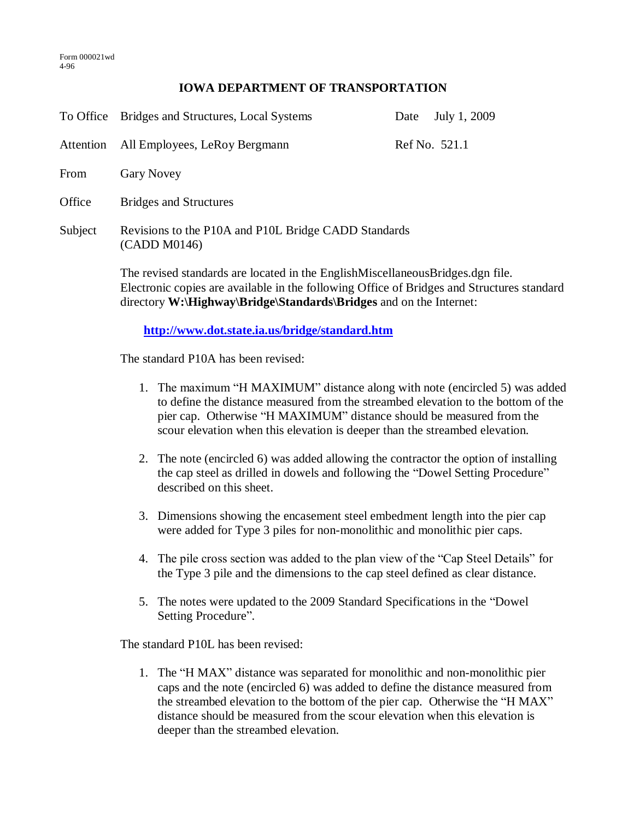## **IOWA DEPARTMENT OF TRANSPORTATION**

|                                                | To Office Bridges and Structures, Local Systems                                                                                                                                                                                                    | Date | July 1, 2009  |
|------------------------------------------------|----------------------------------------------------------------------------------------------------------------------------------------------------------------------------------------------------------------------------------------------------|------|---------------|
| Attention                                      | All Employees, LeRoy Bergmann                                                                                                                                                                                                                      |      | Ref No. 521.1 |
| From                                           | <b>Gary Novey</b>                                                                                                                                                                                                                                  |      |               |
| Office                                         | <b>Bridges and Structures</b>                                                                                                                                                                                                                      |      |               |
| Subject                                        | Revisions to the P10A and P10L Bridge CADD Standards<br>(CADD M0146)                                                                                                                                                                               |      |               |
|                                                | The revised standards are located in the EnglishMiscellaneousBridges.dgn file.<br>Electronic copies are available in the following Office of Bridges and Structures standard<br>directory W:\Highway\Bridge\Standards\Bridges and on the Internet: |      |               |
| http://www.dot.state.ia.us/bridge/standard.htm |                                                                                                                                                                                                                                                    |      |               |

The standard P10A has been revised:

- 1. The maximum "H MAXIMUM" distance along with note (encircled 5) was added to define the distance measured from the streambed elevation to the bottom of the pier cap. Otherwise "H MAXIMUM" distance should be measured from the scour elevation when this elevation is deeper than the streambed elevation.
- 2. The note (encircled 6) was added allowing the contractor the option of installing the cap steel as drilled in dowels and following the "Dowel Setting Procedure" described on this sheet.
- 3. Dimensions showing the encasement steel embedment length into the pier cap were added for Type 3 piles for non-monolithic and monolithic pier caps.
- 4. The pile cross section was added to the plan view of the "Cap Steel Details" for the Type 3 pile and the dimensions to the cap steel defined as clear distance.
- 5. The notes were updated to the 2009 Standard Specifications in the "Dowel Setting Procedure".

The standard P10L has been revised:

1. The "H MAX" distance was separated for monolithic and non-monolithic pier caps and the note (encircled 6) was added to define the distance measured from the streambed elevation to the bottom of the pier cap. Otherwise the "H MAX" distance should be measured from the scour elevation when this elevation is deeper than the streambed elevation.